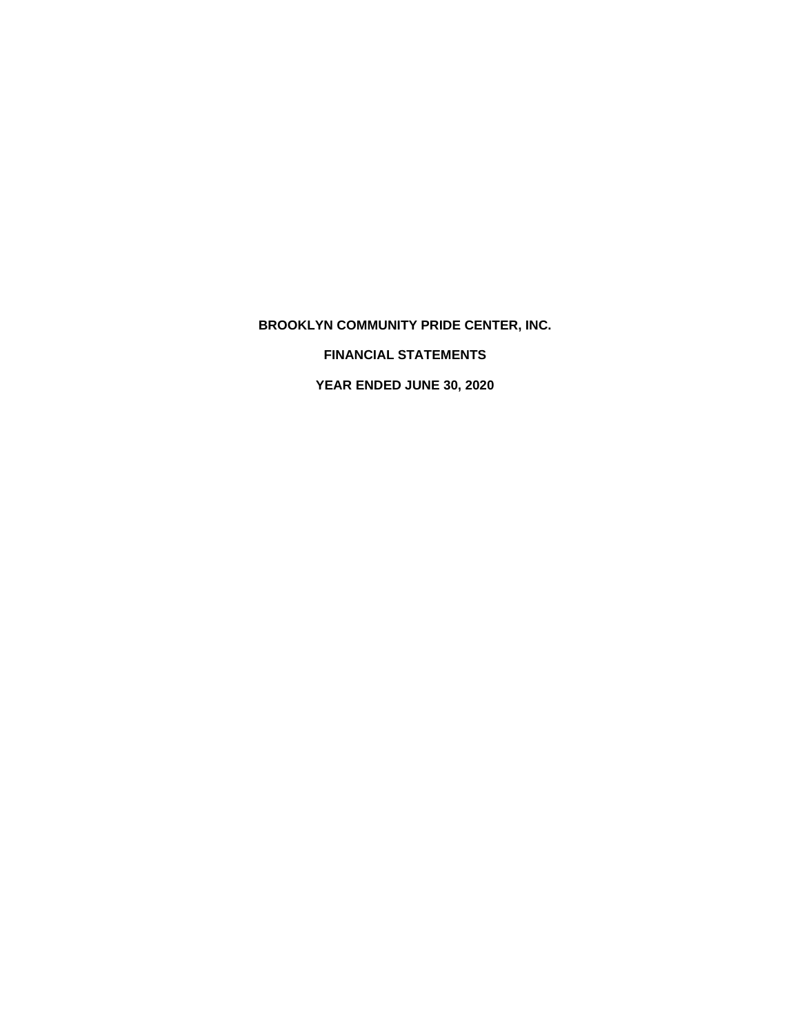**BROOKLYN COMMUNITY PRIDE CENTER, INC.**

 **FINANCIAL STATEMENTS**

 **YEAR ENDED JUNE 30, 2020**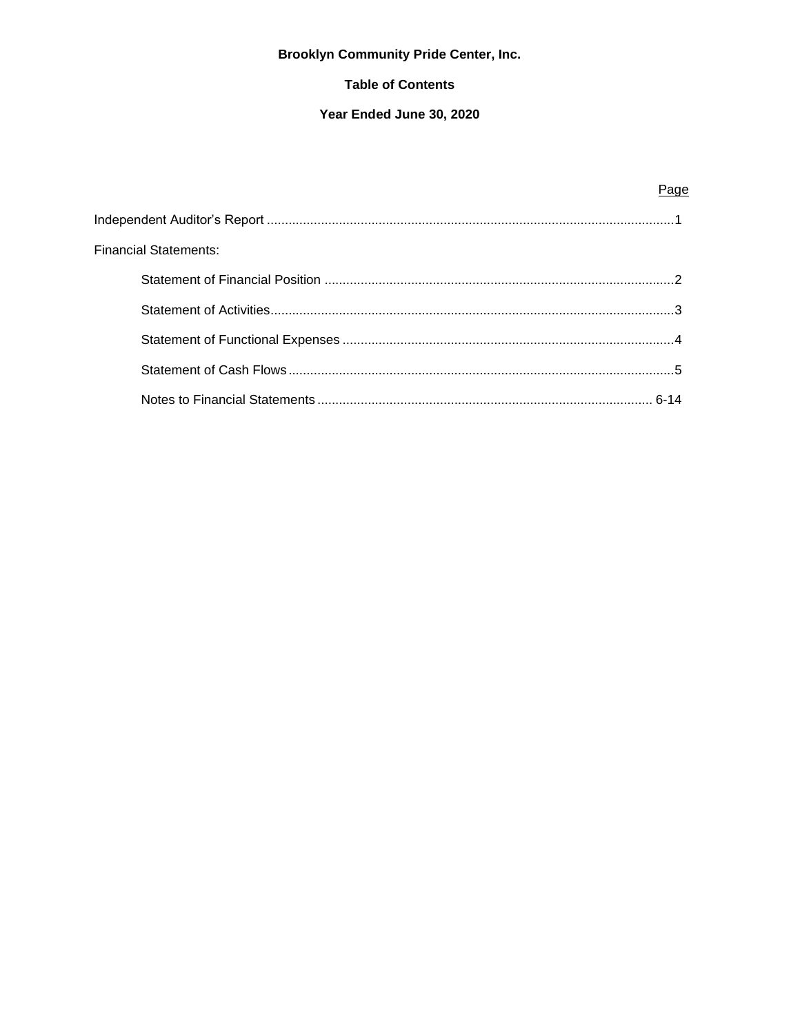# **Brooklyn Community Pride Center, Inc.**

## **Table of Contents**

## Year Ended June 30, 2020

| Financial Statements: |  |
|-----------------------|--|
|                       |  |
|                       |  |
|                       |  |
|                       |  |
|                       |  |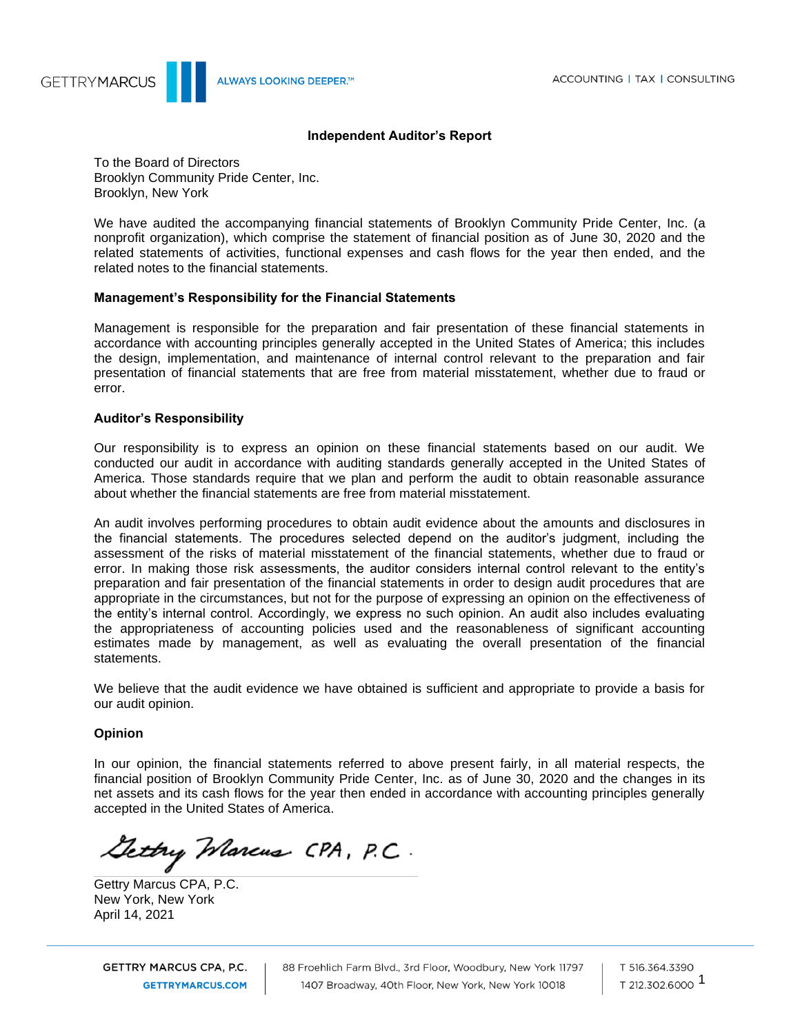

ALWAYS LOOKING DEEPER.<sup>™</sup>

## **Independent Auditor's Report**

To the Board of Directors Brooklyn Community Pride Center, Inc. Brooklyn, New York

We have audited the accompanying financial statements of Brooklyn Community Pride Center, Inc. (a nonprofit organization), which comprise the statement of financial position as of June 30, 2020 and the related statements of activities, functional expenses and cash flows for the year then ended, and the related notes to the financial statements.

## **Management's Responsibility for the Financial Statements**

Management is responsible for the preparation and fair presentation of these financial statements in accordance with accounting principles generally accepted in the United States of America; this includes the design, implementation, and maintenance of internal control relevant to the preparation and fair presentation of financial statements that are free from material misstatement, whether due to fraud or error.

## **Auditor's Responsibility**

Our responsibility is to express an opinion on these financial statements based on our audit. We conducted our audit in accordance with auditing standards generally accepted in the United States of America. Those standards require that we plan and perform the audit to obtain reasonable assurance about whether the financial statements are free from material misstatement.

An audit involves performing procedures to obtain audit evidence about the amounts and disclosures in the financial statements. The procedures selected depend on the auditor's judgment, including the assessment of the risks of material misstatement of the financial statements, whether due to fraud or error. In making those risk assessments, the auditor considers internal control relevant to the entity's preparation and fair presentation of the financial statements in order to design audit procedures that are appropriate in the circumstances, but not for the purpose of expressing an opinion on the effectiveness of the entity's internal control. Accordingly, we express no such opinion. An audit also includes evaluating the appropriateness of accounting policies used and the reasonableness of significant accounting estimates made by management, as well as evaluating the overall presentation of the financial statements.

We believe that the audit evidence we have obtained is sufficient and appropriate to provide a basis for our audit opinion.

#### **Opinion**

In our opinion, the financial statements referred to above present fairly, in all material respects, the financial position of Brooklyn Community Pride Center, Inc. as of June 30, 2020 and the changes in its net assets and its cash flows for the year then ended in accordance with accounting principles generally accepted in the United States of America.

Gettry Warcus CPA, P.C.

Gettry Marcus CPA, P.C. New York, New York April 14, 2021

GETTRY MARCUS CPA, P.C. **GETTRYMARCUS.COM** 

88 Froehlich Farm Blvd., 3rd Floor, Woodbury, New York 11797 1407 Broadway, 40th Floor, New York, New York 10018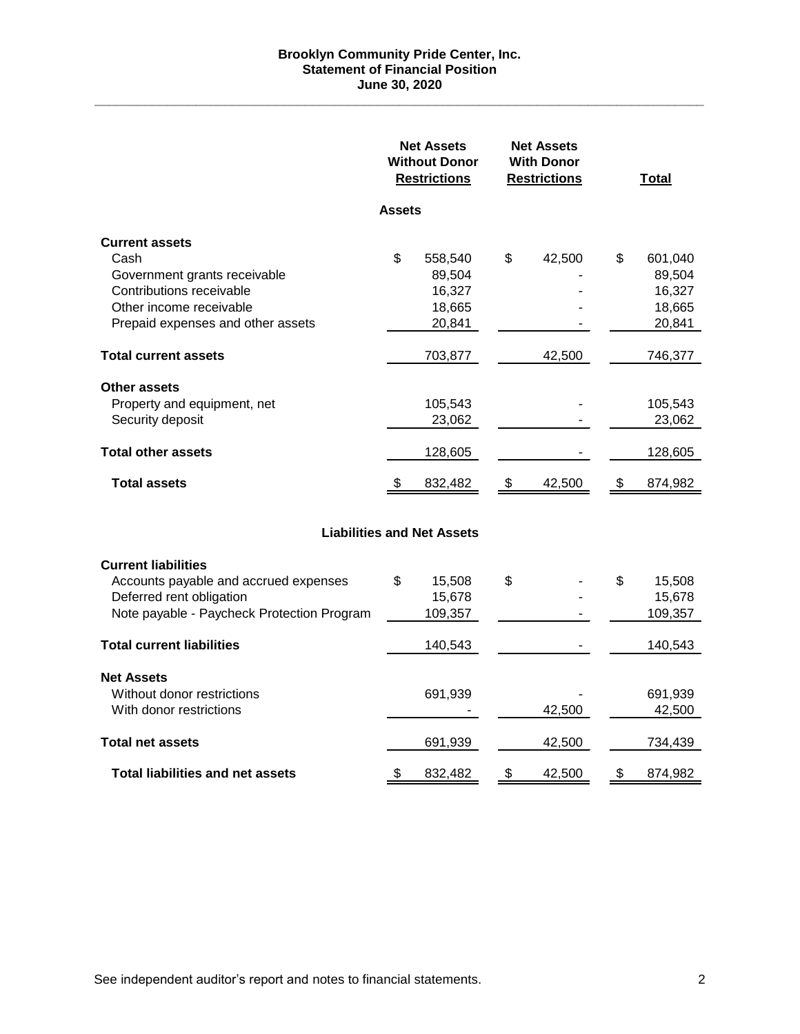### **Brooklyn Community Pride Center, Inc. Statement of Financial Position June 30, 2020**

**\_\_\_\_\_\_\_\_\_\_\_\_\_\_\_\_\_\_\_\_\_\_\_\_\_\_\_\_\_\_\_\_\_\_\_\_\_\_\_\_\_\_\_\_\_\_\_\_\_\_\_\_\_\_\_\_\_\_\_\_\_\_\_\_\_\_\_\_\_\_\_\_\_\_\_\_\_\_\_\_\_\_\_\_**

|                                                                                                                                                           | <b>Net Assets</b><br><b>Without Donor</b><br><b>Restrictions</b> |                                                 | <b>Net Assets</b><br><b>With Donor</b><br><b>Restrictions</b> |        |    | <b>Total</b>                                    |
|-----------------------------------------------------------------------------------------------------------------------------------------------------------|------------------------------------------------------------------|-------------------------------------------------|---------------------------------------------------------------|--------|----|-------------------------------------------------|
|                                                                                                                                                           | <b>Assets</b>                                                    |                                                 |                                                               |        |    |                                                 |
| <b>Current assets</b><br>Cash<br>Government grants receivable<br>Contributions receivable<br>Other income receivable<br>Prepaid expenses and other assets | \$                                                               | 558,540<br>89,504<br>16,327<br>18,665<br>20,841 | \$                                                            | 42,500 | S  | 601,040<br>89,504<br>16,327<br>18,665<br>20,841 |
| <b>Total current assets</b>                                                                                                                               |                                                                  | 703,877                                         |                                                               | 42,500 |    | 746,377                                         |
| <b>Other assets</b><br>Property and equipment, net<br>Security deposit                                                                                    |                                                                  | 105,543<br>23,062                               |                                                               |        |    | 105,543<br>23,062                               |
| <b>Total other assets</b>                                                                                                                                 |                                                                  | 128,605                                         |                                                               |        |    | 128,605                                         |
| <b>Total assets</b>                                                                                                                                       | - \$                                                             | 832,482                                         | \$                                                            | 42,500 | -S | 874,982                                         |
|                                                                                                                                                           |                                                                  | <b>Liabilities and Net Assets</b>               |                                                               |        |    |                                                 |
| <b>Current liabilities</b><br>Accounts payable and accrued expenses<br>Deferred rent obligation<br>Note payable - Paycheck Protection Program             | \$                                                               | 15,508<br>15,678<br>109,357                     | \$                                                            |        | \$ | 15,508<br>15,678<br>109,357                     |
| <b>Total current liabilities</b>                                                                                                                          |                                                                  | 140,543                                         |                                                               |        |    | 140,543                                         |
| <b>Net Assets</b><br>Without donor restrictions<br>With donor restrictions                                                                                |                                                                  | 691,939                                         |                                                               | 42,500 |    | 691,939<br>42,500                               |
| <b>Total net assets</b>                                                                                                                                   |                                                                  | 691,939                                         |                                                               | 42,500 |    | 734,439                                         |
| <b>Total liabilities and net assets</b>                                                                                                                   | \$                                                               | 832,482                                         | \$                                                            | 42,500 | \$ | 874,982                                         |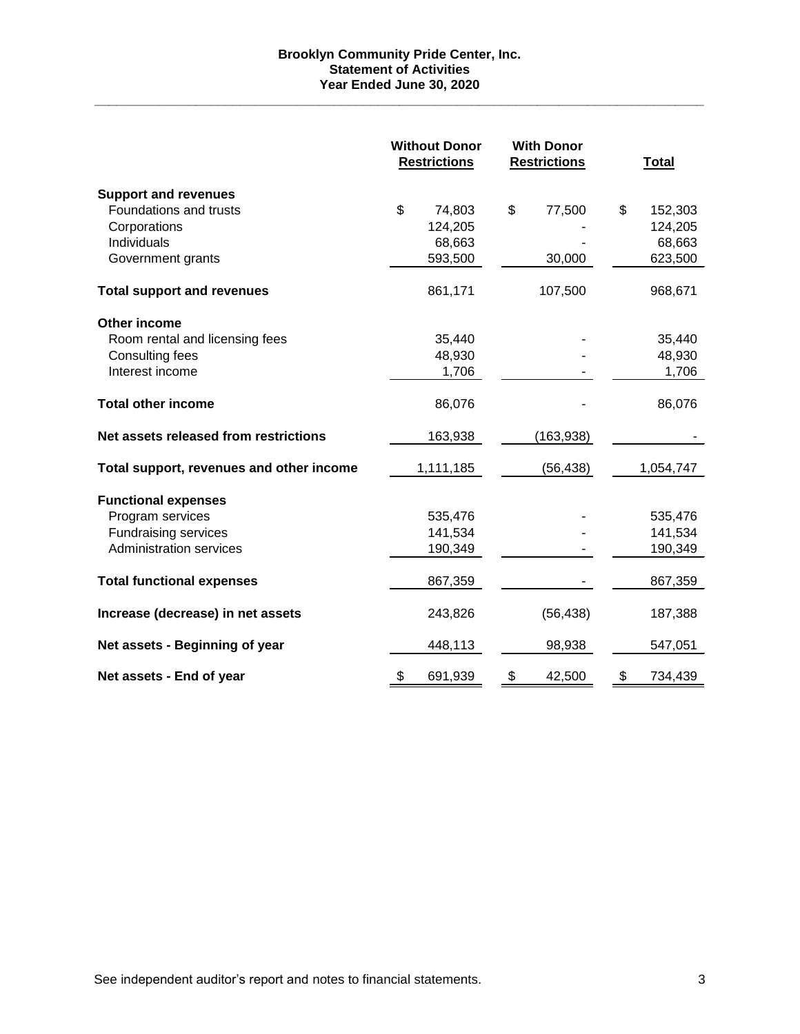## **Brooklyn Community Pride Center, Inc. Statement of Activities Year Ended June 30, 2020**

**\_\_\_\_\_\_\_\_\_\_\_\_\_\_\_\_\_\_\_\_\_\_\_\_\_\_\_\_\_\_\_\_\_\_\_\_\_\_\_\_\_\_\_\_\_\_\_\_\_\_\_\_\_\_\_\_\_\_\_\_\_\_\_\_\_\_\_\_\_\_\_\_\_\_\_\_\_\_\_\_\_\_\_\_**

|                                          |    | <b>Without Donor</b><br><b>Restrictions</b> |    | <b>With Donor</b><br><b>Restrictions</b> |    |           |  |  |  | <b>Total</b> |
|------------------------------------------|----|---------------------------------------------|----|------------------------------------------|----|-----------|--|--|--|--------------|
| <b>Support and revenues</b>              |    |                                             |    |                                          |    |           |  |  |  |              |
| Foundations and trusts                   | \$ | 74,803                                      | \$ | 77,500                                   | \$ | 152,303   |  |  |  |              |
| Corporations                             |    | 124,205                                     |    |                                          |    | 124,205   |  |  |  |              |
| Individuals                              |    | 68,663                                      |    |                                          |    | 68,663    |  |  |  |              |
| Government grants                        |    | 593,500                                     |    | 30,000                                   |    | 623,500   |  |  |  |              |
| <b>Total support and revenues</b>        |    | 861,171                                     |    | 107,500                                  |    | 968,671   |  |  |  |              |
| Other income                             |    |                                             |    |                                          |    |           |  |  |  |              |
| Room rental and licensing fees           |    | 35,440                                      |    |                                          |    | 35,440    |  |  |  |              |
| Consulting fees                          |    | 48,930                                      |    |                                          |    | 48,930    |  |  |  |              |
| Interest income                          |    | 1,706                                       |    |                                          |    | 1,706     |  |  |  |              |
| <b>Total other income</b>                |    | 86,076                                      |    |                                          |    | 86,076    |  |  |  |              |
| Net assets released from restrictions    |    | 163,938                                     |    | (163, 938)                               |    |           |  |  |  |              |
| Total support, revenues and other income |    | 1,111,185                                   |    | (56, 438)                                |    | 1,054,747 |  |  |  |              |
| <b>Functional expenses</b>               |    |                                             |    |                                          |    |           |  |  |  |              |
| Program services                         |    | 535,476                                     |    |                                          |    | 535,476   |  |  |  |              |
| <b>Fundraising services</b>              |    | 141,534                                     |    |                                          |    | 141,534   |  |  |  |              |
| <b>Administration services</b>           |    | 190,349                                     |    |                                          |    | 190,349   |  |  |  |              |
| <b>Total functional expenses</b>         |    | 867,359                                     |    |                                          |    | 867,359   |  |  |  |              |
| Increase (decrease) in net assets        |    | 243,826                                     |    | (56, 438)                                |    | 187,388   |  |  |  |              |
| Net assets - Beginning of year           |    | 448,113                                     |    | 98,938                                   |    | 547,051   |  |  |  |              |
| Net assets - End of year                 | \$ | 691,939                                     | \$ | 42,500                                   | \$ | 734,439   |  |  |  |              |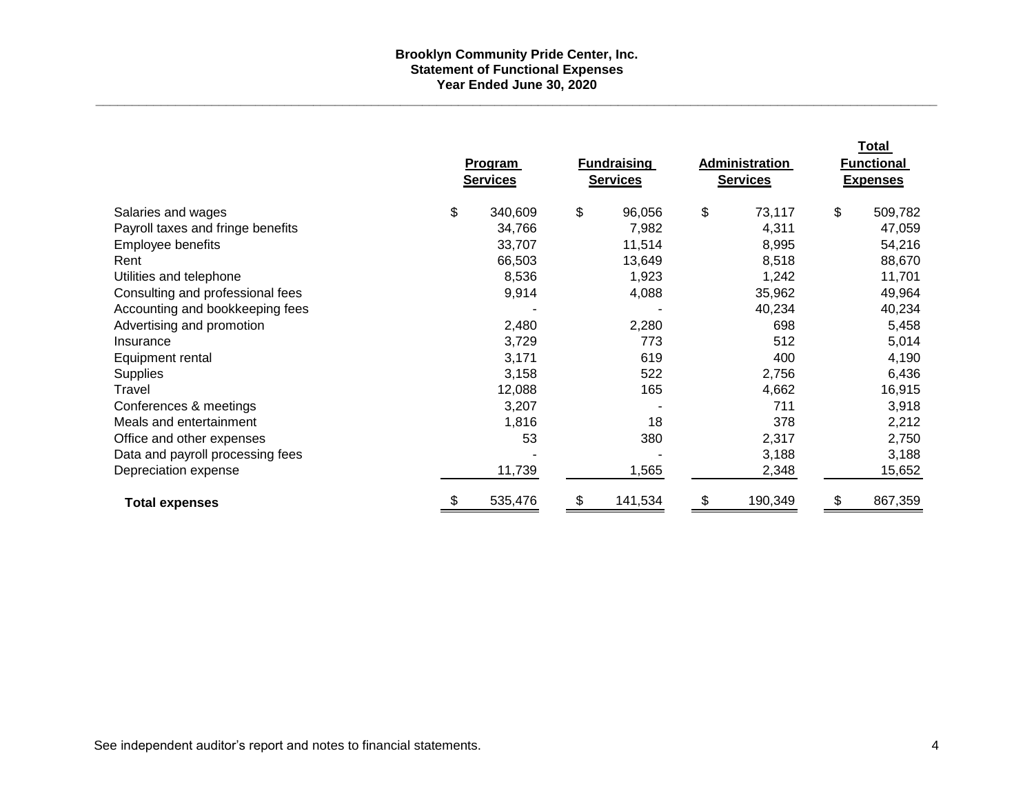#### **Brooklyn Community Pride Center, Inc. Statement of Functional Expenses Year Ended June 30, 2020**

**\_\_\_\_\_\_\_\_\_\_\_\_\_\_\_\_\_\_\_\_\_\_\_\_\_\_\_\_\_\_\_\_\_\_\_\_\_\_\_\_\_\_\_\_\_\_\_\_\_\_\_\_\_\_\_\_\_\_\_\_\_\_\_\_\_\_\_\_\_\_\_\_\_\_\_\_\_\_\_\_\_\_\_\_\_\_\_\_\_\_\_\_\_\_\_\_\_\_\_\_\_\_\_\_\_\_\_\_\_\_\_\_\_\_\_\_**

|                                   | <b>Program</b><br><b>Services</b> | <b>Fundraising</b><br><b>Services</b> | Administration<br><b>Services</b> | Total<br><b>Functional</b><br><b>Expenses</b> |
|-----------------------------------|-----------------------------------|---------------------------------------|-----------------------------------|-----------------------------------------------|
| Salaries and wages                | \$<br>340,609                     | \$<br>96,056                          | \$<br>73,117                      | \$<br>509,782                                 |
| Payroll taxes and fringe benefits | 34,766                            | 7,982                                 | 4,311                             | 47,059                                        |
| Employee benefits                 | 33,707                            | 11,514                                | 8,995                             | 54,216                                        |
| Rent                              | 66,503                            | 13,649                                | 8,518                             | 88,670                                        |
| Utilities and telephone           | 8,536                             | 1,923                                 | 1,242                             | 11,701                                        |
| Consulting and professional fees  | 9,914                             | 4,088                                 | 35,962                            | 49,964                                        |
| Accounting and bookkeeping fees   |                                   |                                       | 40,234                            | 40,234                                        |
| Advertising and promotion         | 2,480                             | 2,280                                 | 698                               | 5,458                                         |
| Insurance                         | 3,729                             | 773                                   | 512                               | 5,014                                         |
| Equipment rental                  | 3,171                             | 619                                   | 400                               | 4,190                                         |
| <b>Supplies</b>                   | 3,158                             | 522                                   | 2,756                             | 6,436                                         |
| Travel                            | 12,088                            | 165                                   | 4,662                             | 16,915                                        |
| Conferences & meetings            | 3,207                             |                                       | 711                               | 3,918                                         |
| Meals and entertainment           | 1,816                             | 18                                    | 378                               | 2,212                                         |
| Office and other expenses         | 53                                | 380                                   | 2,317                             | 2,750                                         |
| Data and payroll processing fees  |                                   |                                       | 3,188                             | 3,188                                         |
| Depreciation expense              | 11,739                            | 1,565                                 | 2,348                             | 15,652                                        |
| <b>Total expenses</b>             | 535,476                           | 141,534<br>\$.                        | 190,349<br>S                      | 867,359<br>S                                  |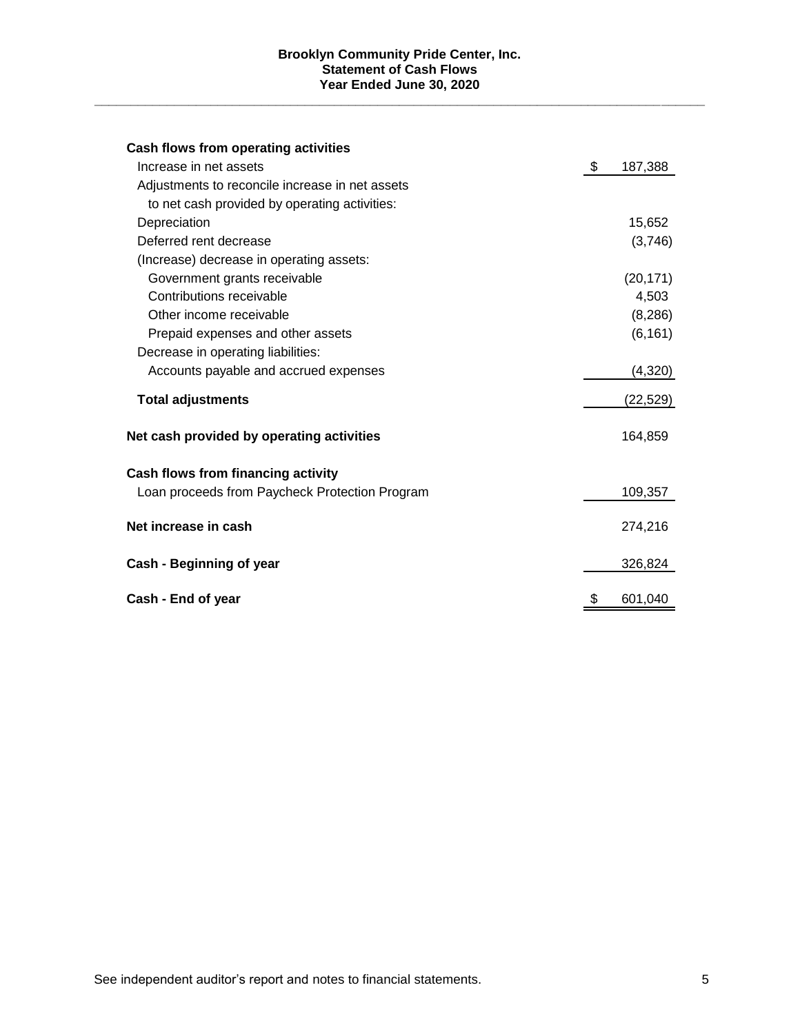#### **Brooklyn Community Pride Center, Inc. Statement of Cash Flows Year Ended June 30, 2020**

**\_\_\_\_\_\_\_\_\_\_\_\_\_\_\_\_\_\_\_\_\_\_\_\_\_\_\_\_\_\_\_\_\_\_\_\_\_\_\_\_\_\_\_\_\_\_\_\_\_\_\_\_\_\_\_\_\_\_\_\_\_\_\_\_\_\_\_\_\_\_\_\_\_\_\_\_\_\_\_\_\_\_\_\_**

| Cash flows from operating activities            |               |
|-------------------------------------------------|---------------|
| Increase in net assets                          | \$<br>187,388 |
| Adjustments to reconcile increase in net assets |               |
| to net cash provided by operating activities:   |               |
| Depreciation                                    | 15,652        |
| Deferred rent decrease                          | (3,746)       |
| (Increase) decrease in operating assets:        |               |
| Government grants receivable                    | (20, 171)     |
| Contributions receivable                        | 4,503         |
| Other income receivable                         | (8, 286)      |
| Prepaid expenses and other assets               | (6, 161)      |
| Decrease in operating liabilities:              |               |
| Accounts payable and accrued expenses           | (4,320)       |
| <b>Total adjustments</b>                        | (22, 529)     |
| Net cash provided by operating activities       | 164,859       |
| Cash flows from financing activity              |               |
| Loan proceeds from Paycheck Protection Program  | 109,357       |
| Net increase in cash                            | 274,216       |
| Cash - Beginning of year                        | 326,824       |
| Cash - End of year                              | \$<br>601,040 |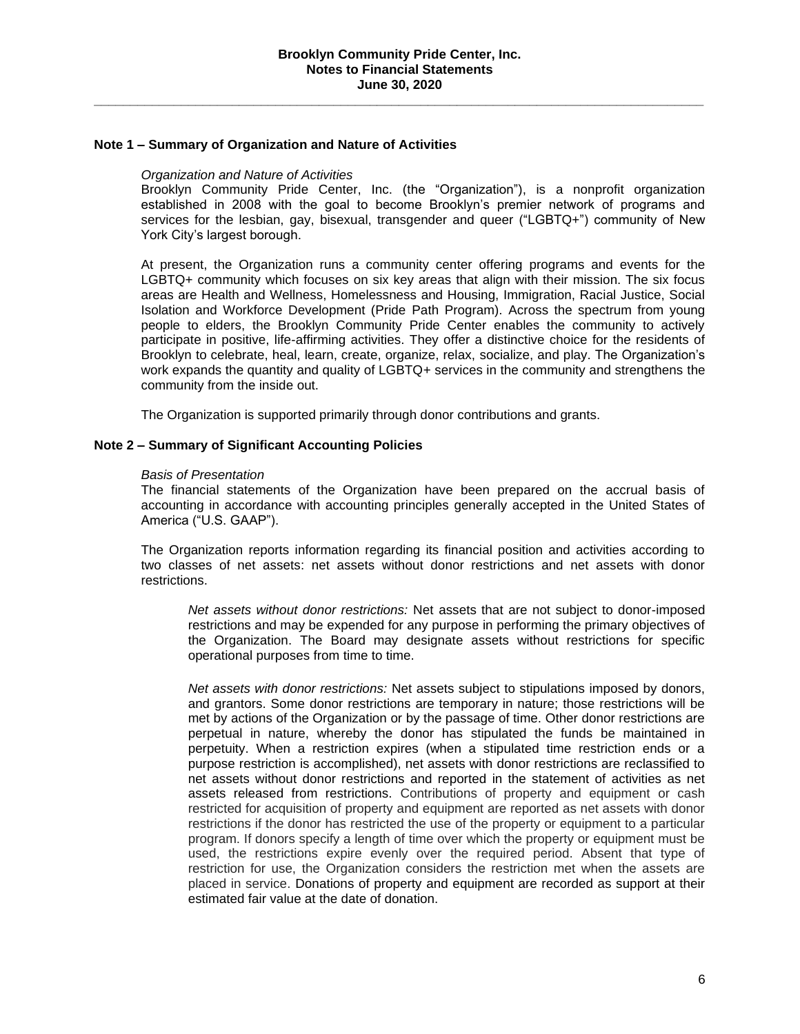#### **Note 1 – Summary of Organization and Nature of Activities**

#### *Organization and Nature of Activities*

Brooklyn Community Pride Center, Inc. (the "Organization"), is a nonprofit organization established in 2008 with the goal to become Brooklyn's premier network of programs and services for the lesbian, gay, bisexual, transgender and queer ("LGBTQ+") community of New York City's largest borough.

At present, the Organization runs a community center offering programs and events for the LGBTQ+ community which focuses on six key areas that align with their mission. The six focus areas are Health and Wellness, Homelessness and Housing, Immigration, Racial Justice, Social Isolation and Workforce Development (Pride Path Program). Across the spectrum from young people to elders, the Brooklyn Community Pride Center enables the community to actively participate in positive, life-affirming activities. They offer a distinctive choice for the residents of Brooklyn to celebrate, heal, learn, create, organize, relax, socialize, and play. The Organization's work expands the quantity and quality of LGBTQ+ services in the community and strengthens the community from the inside out.

The Organization is supported primarily through donor contributions and grants.

#### **Note 2 – Summary of Significant Accounting Policies**

#### *Basis of Presentation*

The financial statements of the Organization have been prepared on the accrual basis of accounting in accordance with accounting principles generally accepted in the United States of America ("U.S. GAAP").

The Organization reports information regarding its financial position and activities according to two classes of net assets: net assets without donor restrictions and net assets with donor restrictions.

*Net assets without donor restrictions:* Net assets that are not subject to donor-imposed restrictions and may be expended for any purpose in performing the primary objectives of the Organization. The Board may designate assets without restrictions for specific operational purposes from time to time.

*Net assets with donor restrictions:* Net assets subject to stipulations imposed by donors, and grantors. Some donor restrictions are temporary in nature; those restrictions will be met by actions of the Organization or by the passage of time. Other donor restrictions are perpetual in nature, whereby the donor has stipulated the funds be maintained in perpetuity. When a restriction expires (when a stipulated time restriction ends or a purpose restriction is accomplished), net assets with donor restrictions are reclassified to net assets without donor restrictions and reported in the statement of activities as net assets released from restrictions. Contributions of property and equipment or cash restricted for acquisition of property and equipment are reported as net assets with donor restrictions if the donor has restricted the use of the property or equipment to a particular program. If donors specify a length of time over which the property or equipment must be used, the restrictions expire evenly over the required period. Absent that type of restriction for use, the Organization considers the restriction met when the assets are placed in service. Donations of property and equipment are recorded as support at their estimated fair value at the date of donation.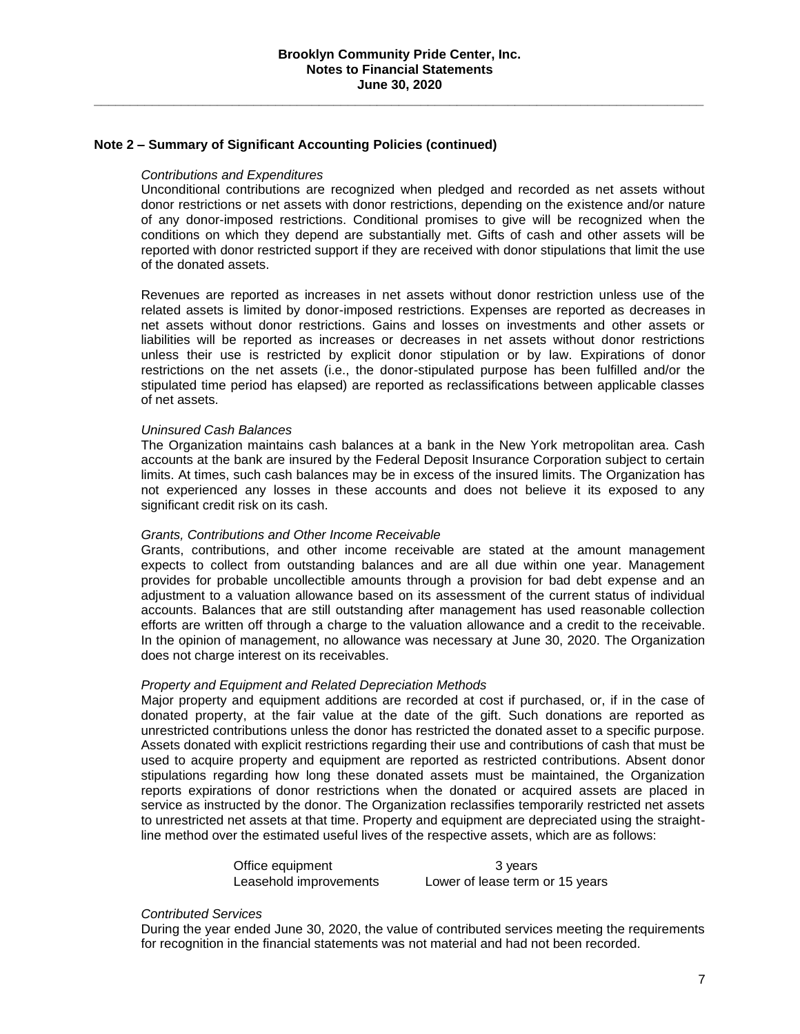#### **Note 2 – Summary of Significant Accounting Policies (continued)**

#### *Contributions and Expenditures*

Unconditional contributions are recognized when pledged and recorded as net assets without donor restrictions or net assets with donor restrictions, depending on the existence and/or nature of any donor-imposed restrictions. Conditional promises to give will be recognized when the conditions on which they depend are substantially met. Gifts of cash and other assets will be reported with donor restricted support if they are received with donor stipulations that limit the use of the donated assets.

Revenues are reported as increases in net assets without donor restriction unless use of the related assets is limited by donor-imposed restrictions. Expenses are reported as decreases in net assets without donor restrictions. Gains and losses on investments and other assets or liabilities will be reported as increases or decreases in net assets without donor restrictions unless their use is restricted by explicit donor stipulation or by law. Expirations of donor restrictions on the net assets (i.e., the donor-stipulated purpose has been fulfilled and/or the stipulated time period has elapsed) are reported as reclassifications between applicable classes of net assets.

#### *Uninsured Cash Balances*

The Organization maintains cash balances at a bank in the New York metropolitan area. Cash accounts at the bank are insured by the Federal Deposit Insurance Corporation subject to certain limits. At times, such cash balances may be in excess of the insured limits. The Organization has not experienced any losses in these accounts and does not believe it its exposed to any significant credit risk on its cash.

#### *Grants, Contributions and Other Income Receivable*

Grants, contributions, and other income receivable are stated at the amount management expects to collect from outstanding balances and are all due within one year. Management provides for probable uncollectible amounts through a provision for bad debt expense and an adjustment to a valuation allowance based on its assessment of the current status of individual accounts. Balances that are still outstanding after management has used reasonable collection efforts are written off through a charge to the valuation allowance and a credit to the receivable. In the opinion of management, no allowance was necessary at June 30, 2020. The Organization does not charge interest on its receivables.

#### *Property and Equipment and Related Depreciation Methods*

Major property and equipment additions are recorded at cost if purchased, or, if in the case of donated property, at the fair value at the date of the gift. Such donations are reported as unrestricted contributions unless the donor has restricted the donated asset to a specific purpose. Assets donated with explicit restrictions regarding their use and contributions of cash that must be used to acquire property and equipment are reported as restricted contributions. Absent donor stipulations regarding how long these donated assets must be maintained, the Organization reports expirations of donor restrictions when the donated or acquired assets are placed in service as instructed by the donor. The Organization reclassifies temporarily restricted net assets to unrestricted net assets at that time. Property and equipment are depreciated using the straightline method over the estimated useful lives of the respective assets, which are as follows:

Office equipment 3 years

Leasehold improvements Lower of lease term or 15 years

#### *Contributed Services*

During the year ended June 30, 2020, the value of contributed services meeting the requirements for recognition in the financial statements was not material and had not been recorded.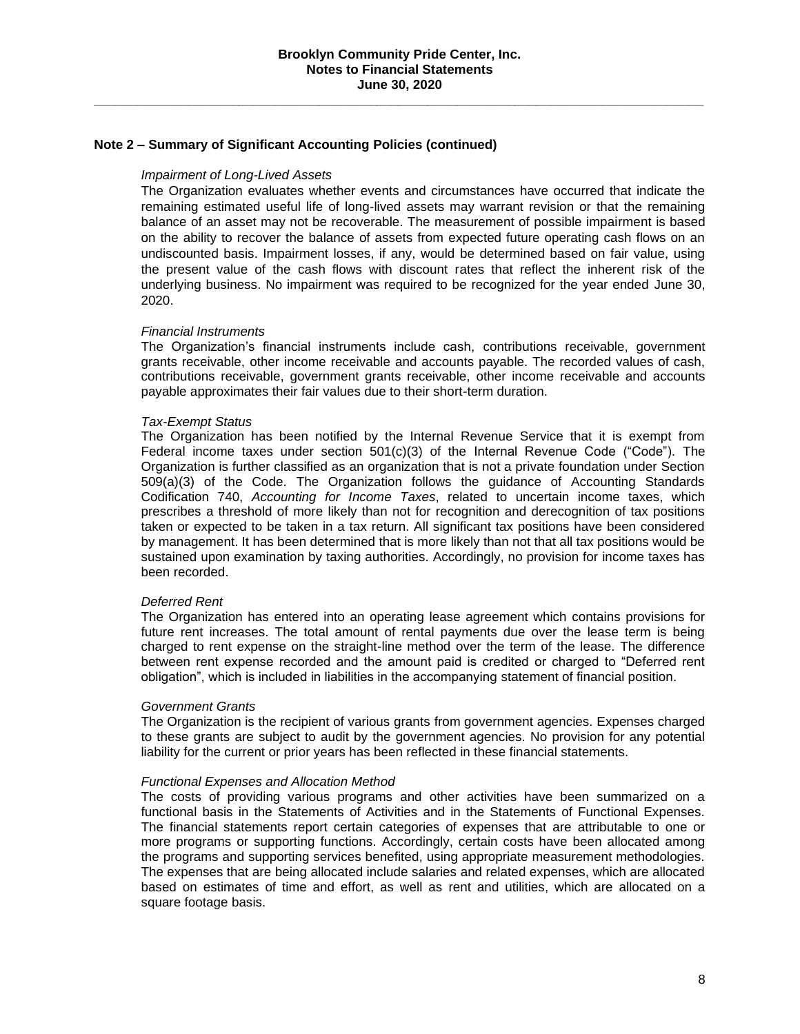#### **Note 2 – Summary of Significant Accounting Policies (continued)**

### *Impairment of Long-Lived Assets*

The Organization evaluates whether events and circumstances have occurred that indicate the remaining estimated useful life of long-lived assets may warrant revision or that the remaining balance of an asset may not be recoverable. The measurement of possible impairment is based on the ability to recover the balance of assets from expected future operating cash flows on an undiscounted basis. Impairment losses, if any, would be determined based on fair value, using the present value of the cash flows with discount rates that reflect the inherent risk of the underlying business. No impairment was required to be recognized for the year ended June 30, 2020.

## *Financial Instruments*

The Organization's financial instruments include cash, contributions receivable, government grants receivable, other income receivable and accounts payable. The recorded values of cash, contributions receivable, government grants receivable, other income receivable and accounts payable approximates their fair values due to their short-term duration.

#### *Tax-Exempt Status*

The Organization has been notified by the Internal Revenue Service that it is exempt from Federal income taxes under section  $501(c)(3)$  of the Internal Revenue Code ("Code"). The Organization is further classified as an organization that is not a private foundation under Section 509(a)(3) of the Code. The Organization follows the guidance of Accounting Standards Codification 740, *Accounting for Income Taxes*, related to uncertain income taxes, which prescribes a threshold of more likely than not for recognition and derecognition of tax positions taken or expected to be taken in a tax return. All significant tax positions have been considered by management. It has been determined that is more likely than not that all tax positions would be sustained upon examination by taxing authorities. Accordingly, no provision for income taxes has been recorded.

#### *Deferred Rent*

The Organization has entered into an operating lease agreement which contains provisions for future rent increases. The total amount of rental payments due over the lease term is being charged to rent expense on the straight-line method over the term of the lease. The difference between rent expense recorded and the amount paid is credited or charged to "Deferred rent obligation", which is included in liabilities in the accompanying statement of financial position.

#### *Government Grants*

The Organization is the recipient of various grants from government agencies. Expenses charged to these grants are subject to audit by the government agencies. No provision for any potential liability for the current or prior years has been reflected in these financial statements.

#### *Functional Expenses and Allocation Method*

The costs of providing various programs and other activities have been summarized on a functional basis in the Statements of Activities and in the Statements of Functional Expenses. The financial statements report certain categories of expenses that are attributable to one or more programs or supporting functions. Accordingly, certain costs have been allocated among the programs and supporting services benefited, using appropriate measurement methodologies. The expenses that are being allocated include salaries and related expenses, which are allocated based on estimates of time and effort, as well as rent and utilities, which are allocated on a square footage basis.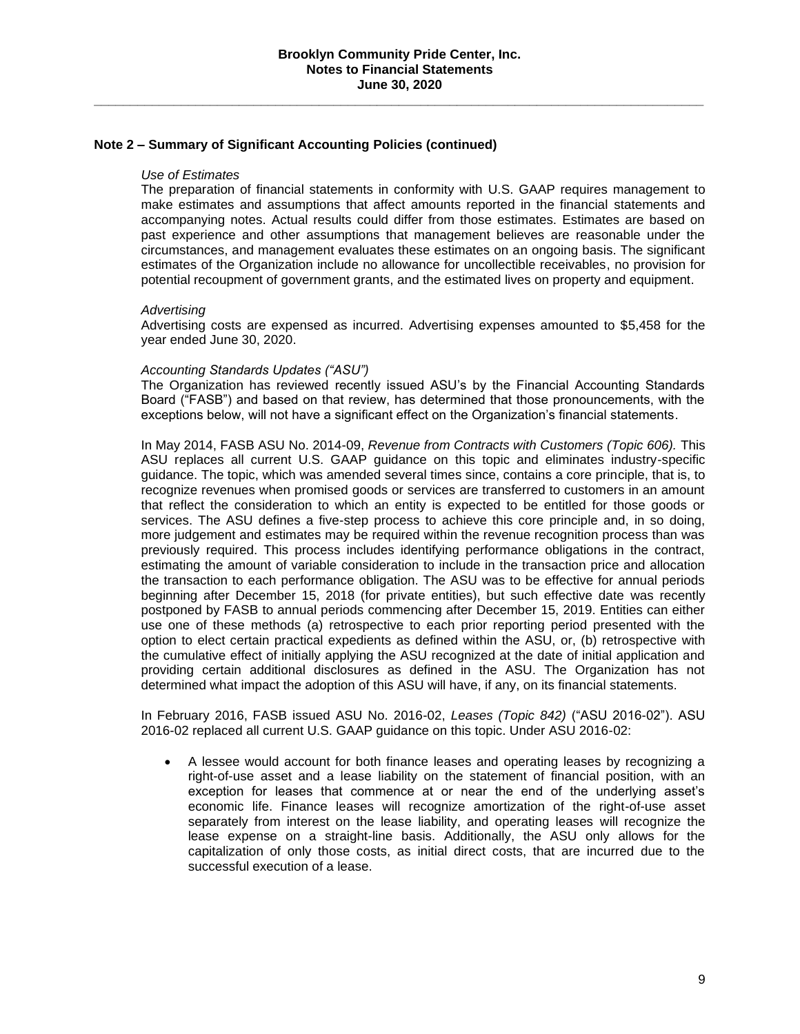#### **Note 2 – Summary of Significant Accounting Policies (continued)**

#### *Use of Estimates*

The preparation of financial statements in conformity with U.S. GAAP requires management to make estimates and assumptions that affect amounts reported in the financial statements and accompanying notes. Actual results could differ from those estimates. Estimates are based on past experience and other assumptions that management believes are reasonable under the circumstances, and management evaluates these estimates on an ongoing basis. The significant estimates of the Organization include no allowance for uncollectible receivables, no provision for potential recoupment of government grants, and the estimated lives on property and equipment.

#### *Advertising*

Advertising costs are expensed as incurred. Advertising expenses amounted to \$5,458 for the year ended June 30, 2020.

#### *Accounting Standards Updates ("ASU")*

The Organization has reviewed recently issued ASU's by the Financial Accounting Standards Board ("FASB") and based on that review, has determined that those pronouncements, with the exceptions below, will not have a significant effect on the Organization's financial statements.

In May 2014, FASB ASU No. 2014-09, *Revenue from Contracts with Customers (Topic 606).* This ASU replaces all current U.S. GAAP guidance on this topic and eliminates industry-specific guidance. The topic, which was amended several times since, contains a core principle, that is, to recognize revenues when promised goods or services are transferred to customers in an amount that reflect the consideration to which an entity is expected to be entitled for those goods or services. The ASU defines a five-step process to achieve this core principle and, in so doing, more judgement and estimates may be required within the revenue recognition process than was previously required. This process includes identifying performance obligations in the contract, estimating the amount of variable consideration to include in the transaction price and allocation the transaction to each performance obligation. The ASU was to be effective for annual periods beginning after December 15, 2018 (for private entities), but such effective date was recently postponed by FASB to annual periods commencing after December 15, 2019. Entities can either use one of these methods (a) retrospective to each prior reporting period presented with the option to elect certain practical expedients as defined within the ASU, or, (b) retrospective with the cumulative effect of initially applying the ASU recognized at the date of initial application and providing certain additional disclosures as defined in the ASU. The Organization has not determined what impact the adoption of this ASU will have, if any, on its financial statements.

In February 2016, FASB issued ASU No. 2016-02, *Leases (Topic 842)* ("ASU 2016-02"). ASU 2016-02 replaced all current U.S. GAAP guidance on this topic. Under ASU 2016-02:

• A lessee would account for both finance leases and operating leases by recognizing a right-of-use asset and a lease liability on the statement of financial position, with an exception for leases that commence at or near the end of the underlying asset's economic life. Finance leases will recognize amortization of the right-of-use asset separately from interest on the lease liability, and operating leases will recognize the lease expense on a straight-line basis. Additionally, the ASU only allows for the capitalization of only those costs, as initial direct costs, that are incurred due to the successful execution of a lease.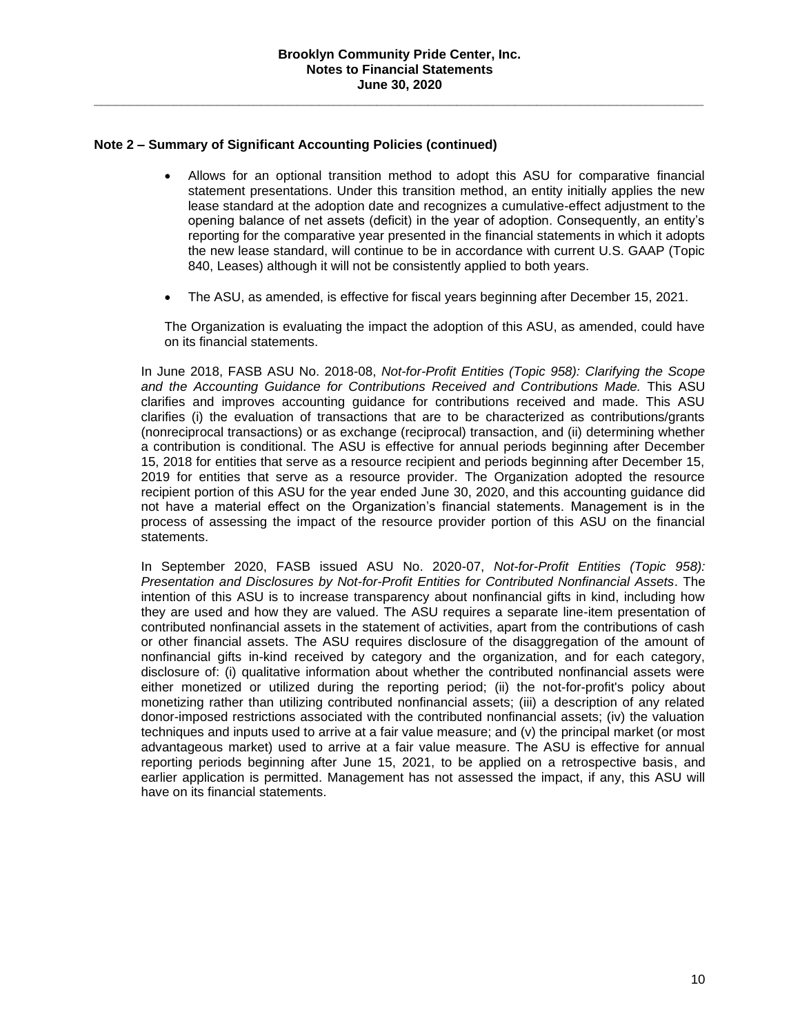### **Note 2 – Summary of Significant Accounting Policies (continued)**

- Allows for an optional transition method to adopt this ASU for comparative financial statement presentations. Under this transition method, an entity initially applies the new lease standard at the adoption date and recognizes a cumulative-effect adjustment to the opening balance of net assets (deficit) in the year of adoption. Consequently, an entity's reporting for the comparative year presented in the financial statements in which it adopts the new lease standard, will continue to be in accordance with current U.S. GAAP (Topic 840, Leases) although it will not be consistently applied to both years.
- The ASU, as amended, is effective for fiscal years beginning after December 15, 2021.

The Organization is evaluating the impact the adoption of this ASU, as amended, could have on its financial statements.

In June 2018, FASB ASU No. 2018-08, *Not-for-Profit Entities (Topic 958): Clarifying the Scope*  and the Accounting Guidance for Contributions Received and Contributions Made. This ASU clarifies and improves accounting guidance for contributions received and made. This ASU clarifies (i) the evaluation of transactions that are to be characterized as contributions/grants (nonreciprocal transactions) or as exchange (reciprocal) transaction, and (ii) determining whether a contribution is conditional. The ASU is effective for annual periods beginning after December 15, 2018 for entities that serve as a resource recipient and periods beginning after December 15, 2019 for entities that serve as a resource provider. The Organization adopted the resource recipient portion of this ASU for the year ended June 30, 2020, and this accounting guidance did not have a material effect on the Organization's financial statements. Management is in the process of assessing the impact of the resource provider portion of this ASU on the financial statements.

In September 2020, FASB issued ASU No. 2020-07, *Not-for-Profit Entities (Topic 958): Presentation and Disclosures by Not-for-Profit Entities for Contributed Nonfinancial Assets*. The intention of this ASU is to increase transparency about nonfinancial gifts in kind, including how they are used and how they are valued. The ASU requires a separate line-item presentation of contributed nonfinancial assets in the statement of activities, apart from the contributions of cash or other financial assets. The ASU requires disclosure of the disaggregation of the amount of nonfinancial gifts in-kind received by category and the organization, and for each category, disclosure of: (i) qualitative information about whether the contributed nonfinancial assets were either monetized or utilized during the reporting period; (ii) the not-for-profit's policy about monetizing rather than utilizing contributed nonfinancial assets; (iii) a description of any related donor-imposed restrictions associated with the contributed nonfinancial assets; (iv) the valuation techniques and inputs used to arrive at a fair value measure; and (v) the principal market (or most advantageous market) used to arrive at a fair value measure. The ASU is effective for annual reporting periods beginning after June 15, 2021, to be applied on a retrospective basis, and earlier application is permitted. Management has not assessed the impact, if any, this ASU will have on its financial statements.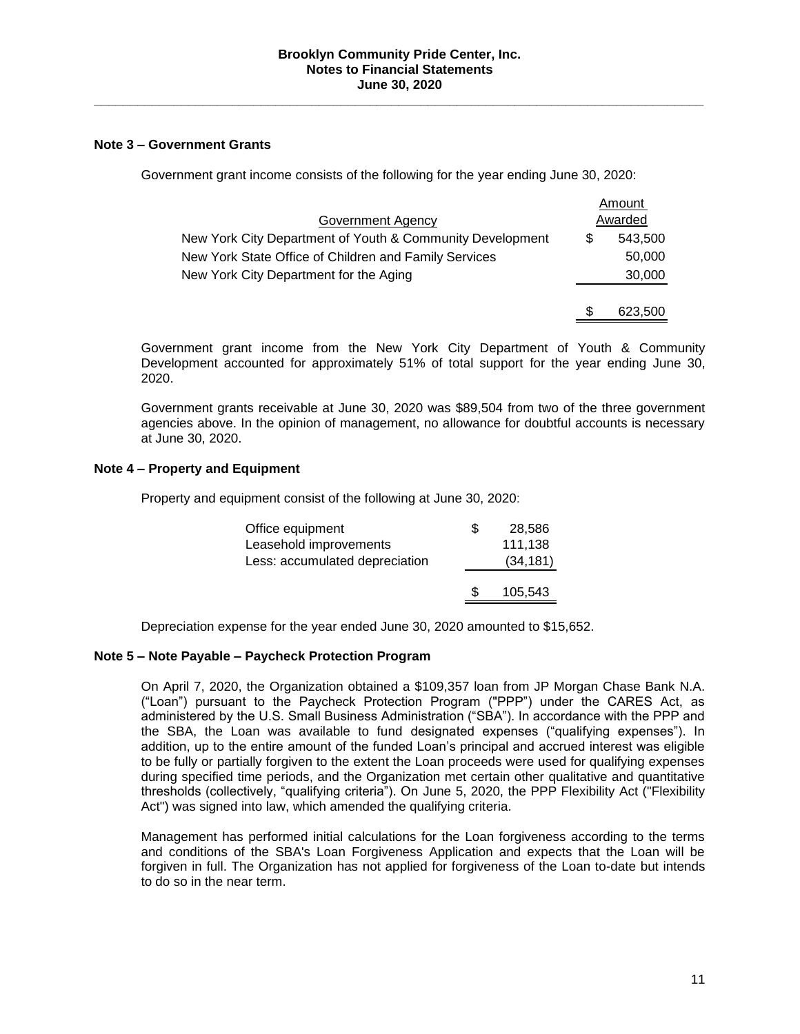### **Note 3 – Government Grants**

Government grant income consists of the following for the year ending June 30, 2020:

|                                                           |   | Amount  |
|-----------------------------------------------------------|---|---------|
| Government Agency                                         |   | Awarded |
| New York City Department of Youth & Community Development | S | 543,500 |
| New York State Office of Children and Family Services     |   | 50,000  |
| New York City Department for the Aging                    |   | 30,000  |
|                                                           |   |         |
|                                                           | S | 623,500 |

Government grant income from the New York City Department of Youth & Community Development accounted for approximately 51% of total support for the year ending June 30, 2020.

Government grants receivable at June 30, 2020 was \$89,504 from two of the three government agencies above. In the opinion of management, no allowance for doubtful accounts is necessary at June 30, 2020.

## **Note 4 – Property and Equipment**

Property and equipment consist of the following at June 30, 2020:

| Office equipment               | \$  | 28,586    |
|--------------------------------|-----|-----------|
| Leasehold improvements         |     | 111,138   |
| Less: accumulated depreciation |     | (34, 181) |
|                                |     |           |
|                                | \$. | 105,543   |
|                                |     |           |

Depreciation expense for the year ended June 30, 2020 amounted to \$15,652.

#### **Note 5 – Note Payable – Paycheck Protection Program**

On April 7, 2020, the Organization obtained a \$109,357 loan from JP Morgan Chase Bank N.A. ("Loan") pursuant to the Paycheck Protection Program ("PPP") under the CARES Act, as administered by the U.S. Small Business Administration ("SBA"). In accordance with the PPP and the SBA, the Loan was available to fund designated expenses ("qualifying expenses"). In addition, up to the entire amount of the funded Loan's principal and accrued interest was eligible to be fully or partially forgiven to the extent the Loan proceeds were used for qualifying expenses during specified time periods, and the Organization met certain other qualitative and quantitative thresholds (collectively, "qualifying criteria"). On June 5, 2020, the PPP Flexibility Act ("Flexibility Act") was signed into law, which amended the qualifying criteria.

Management has performed initial calculations for the Loan forgiveness according to the terms and conditions of the SBA's Loan Forgiveness Application and expects that the Loan will be forgiven in full. The Organization has not applied for forgiveness of the Loan to-date but intends to do so in the near term.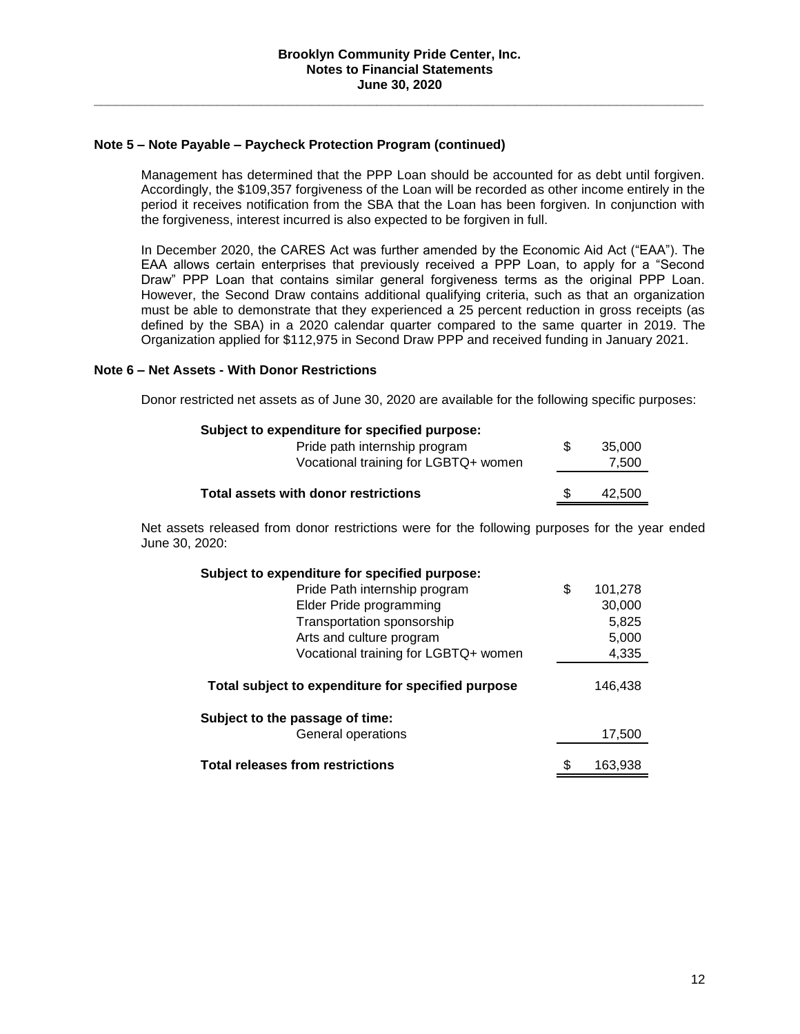#### **Note 5 – Note Payable – Paycheck Protection Program (continued)**

Management has determined that the PPP Loan should be accounted for as debt until forgiven. Accordingly, the \$109,357 forgiveness of the Loan will be recorded as other income entirely in the period it receives notification from the SBA that the Loan has been forgiven. In conjunction with the forgiveness, interest incurred is also expected to be forgiven in full.

In December 2020, the CARES Act was further amended by the Economic Aid Act ("EAA"). The EAA allows certain enterprises that previously received a PPP Loan, to apply for a "Second Draw" PPP Loan that contains similar general forgiveness terms as the original PPP Loan. However, the Second Draw contains additional qualifying criteria, such as that an organization must be able to demonstrate that they experienced a 25 percent reduction in gross receipts (as defined by the SBA) in a 2020 calendar quarter compared to the same quarter in 2019. The Organization applied for \$112,975 in Second Draw PPP and received funding in January 2021.

## **Note 6 – Net Assets - With Donor Restrictions**

Donor restricted net assets as of June 30, 2020 are available for the following specific purposes:

## **Subject to expenditure for specified purpose:**

| Pride path internship program        | 35.000 |
|--------------------------------------|--------|
| Vocational training for LGBTQ+ women | 7.500  |
|                                      |        |
| Total assets with donor restrictions | 42.500 |

Net assets released from donor restrictions were for the following purposes for the year ended June 30, 2020:

| Subject to expenditure for specified purpose:      |    |         |
|----------------------------------------------------|----|---------|
| Pride Path internship program                      | \$ | 101,278 |
| Elder Pride programming                            |    | 30,000  |
| Transportation sponsorship                         |    | 5,825   |
| Arts and culture program                           |    | 5,000   |
| Vocational training for LGBTQ+ women               |    | 4,335   |
| Total subject to expenditure for specified purpose |    | 146,438 |
| Subject to the passage of time:                    |    |         |
| General operations                                 |    | 17,500  |
| <b>Total releases from restrictions</b>            | S  | 163.938 |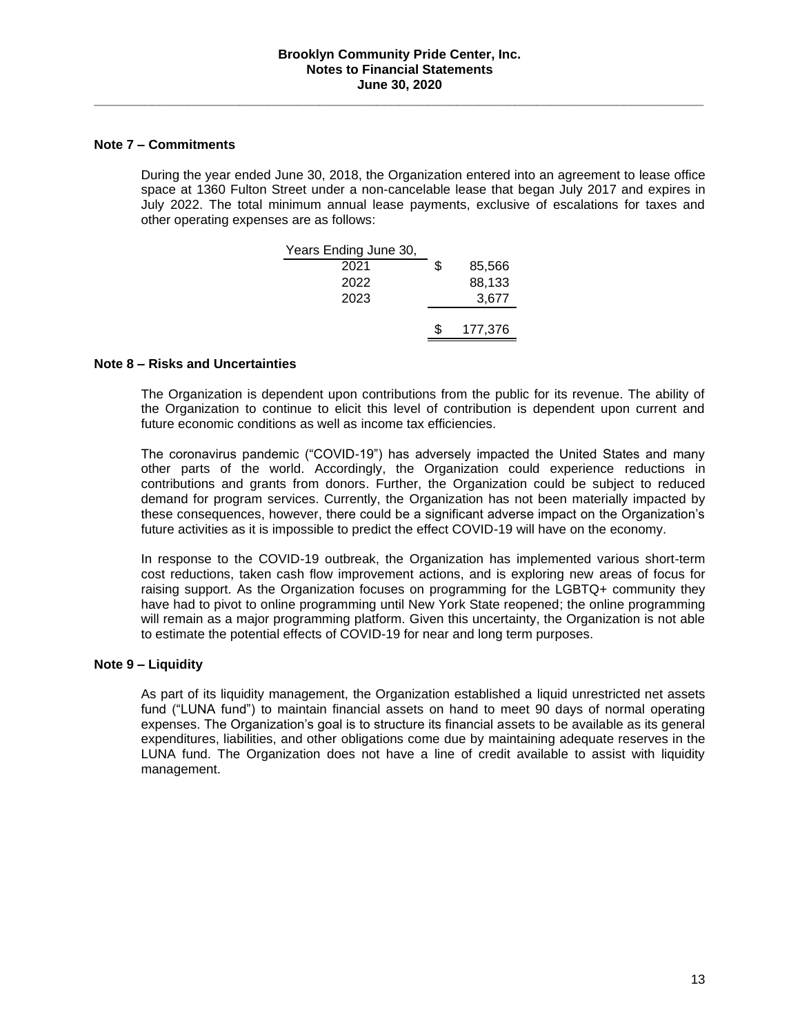### **Note 7 – Commitments**

During the year ended June 30, 2018, the Organization entered into an agreement to lease office space at 1360 Fulton Street under a non-cancelable lease that began July 2017 and expires in July 2022. The total minimum annual lease payments, exclusive of escalations for taxes and other operating expenses are as follows:

| Years Ending June 30, |    |         |
|-----------------------|----|---------|
| 2021                  | \$ | 85,566  |
| 2022                  |    | 88,133  |
| 2023                  |    | 3,677   |
|                       |    |         |
|                       | S. | 177,376 |

## **Note 8 – Risks and Uncertainties**

The Organization is dependent upon contributions from the public for its revenue. The ability of the Organization to continue to elicit this level of contribution is dependent upon current and future economic conditions as well as income tax efficiencies.

The coronavirus pandemic ("COVID-19") has adversely impacted the United States and many other parts of the world. Accordingly, the Organization could experience reductions in contributions and grants from donors. Further, the Organization could be subject to reduced demand for program services. Currently, the Organization has not been materially impacted by these consequences, however, there could be a significant adverse impact on the Organization's future activities as it is impossible to predict the effect COVID-19 will have on the economy.

In response to the COVID-19 outbreak, the Organization has implemented various short-term cost reductions, taken cash flow improvement actions, and is exploring new areas of focus for raising support. As the Organization focuses on programming for the LGBTQ+ community they have had to pivot to online programming until New York State reopened; the online programming will remain as a major programming platform. Given this uncertainty, the Organization is not able to estimate the potential effects of COVID-19 for near and long term purposes.

#### **Note 9 – Liquidity**

As part of its liquidity management, the Organization established a liquid unrestricted net assets fund ("LUNA fund") to maintain financial assets on hand to meet 90 days of normal operating expenses. The Organization's goal is to structure its financial assets to be available as its general expenditures, liabilities, and other obligations come due by maintaining adequate reserves in the LUNA fund. The Organization does not have a line of credit available to assist with liquidity management.